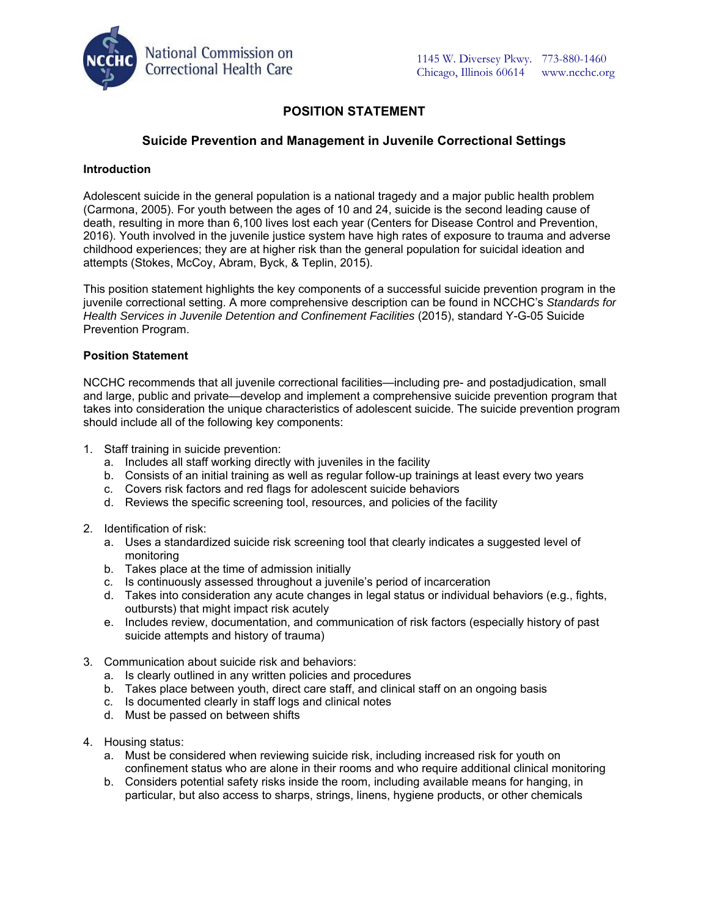

# **POSITION STATEMENT**

### **Suicide Prevention and Management in Juvenile Correctional Settings**

#### **Introduction**

Adolescent suicide in the general population is a national tragedy and a major public health problem (Carmona, 2005). For youth between the ages of 10 and 24, suicide is the second leading cause of death, resulting in more than 6,100 lives lost each year (Centers for Disease Control and Prevention, 2016). Youth involved in the juvenile justice system have high rates of exposure to trauma and adverse childhood experiences; they are at higher risk than the general population for suicidal ideation and attempts (Stokes, McCoy, Abram, Byck, & Teplin, 2015).

This position statement highlights the key components of a successful suicide prevention program in the juvenile correctional setting. A more comprehensive description can be found in NCCHC's *Standards for Health Services in Juvenile Detention and Confinement Facilities* (2015), standard Y-G-05 Suicide Prevention Program.

#### **Position Statement**

NCCHC recommends that all juvenile correctional facilities—including pre- and postadjudication, small and large, public and private—develop and implement a comprehensive suicide prevention program that takes into consideration the unique characteristics of adolescent suicide. The suicide prevention program should include all of the following key components:

- 1. Staff training in suicide prevention:
	- a. Includes all staff working directly with juveniles in the facility
	- b. Consists of an initial training as well as regular follow-up trainings at least every two years
	- c. Covers risk factors and red flags for adolescent suicide behaviors
	- d. Reviews the specific screening tool, resources, and policies of the facility
- 2. Identification of risk:
	- a. Uses a standardized suicide risk screening tool that clearly indicates a suggested level of monitoring
	- b. Takes place at the time of admission initially
	- c. Is continuously assessed throughout a juvenile's period of incarceration
	- d. Takes into consideration any acute changes in legal status or individual behaviors (e.g., fights, outbursts) that might impact risk acutely
	- e. Includes review, documentation, and communication of risk factors (especially history of past suicide attempts and history of trauma)
- 3. Communication about suicide risk and behaviors:
	- a. Is clearly outlined in any written policies and procedures
	- b. Takes place between youth, direct care staff, and clinical staff on an ongoing basis
	- c. Is documented clearly in staff logs and clinical notes
	- d. Must be passed on between shifts
- 4. Housing status:
	- a. Must be considered when reviewing suicide risk, including increased risk for youth on confinement status who are alone in their rooms and who require additional clinical monitoring
	- b. Considers potential safety risks inside the room, including available means for hanging, in particular, but also access to sharps, strings, linens, hygiene products, or other chemicals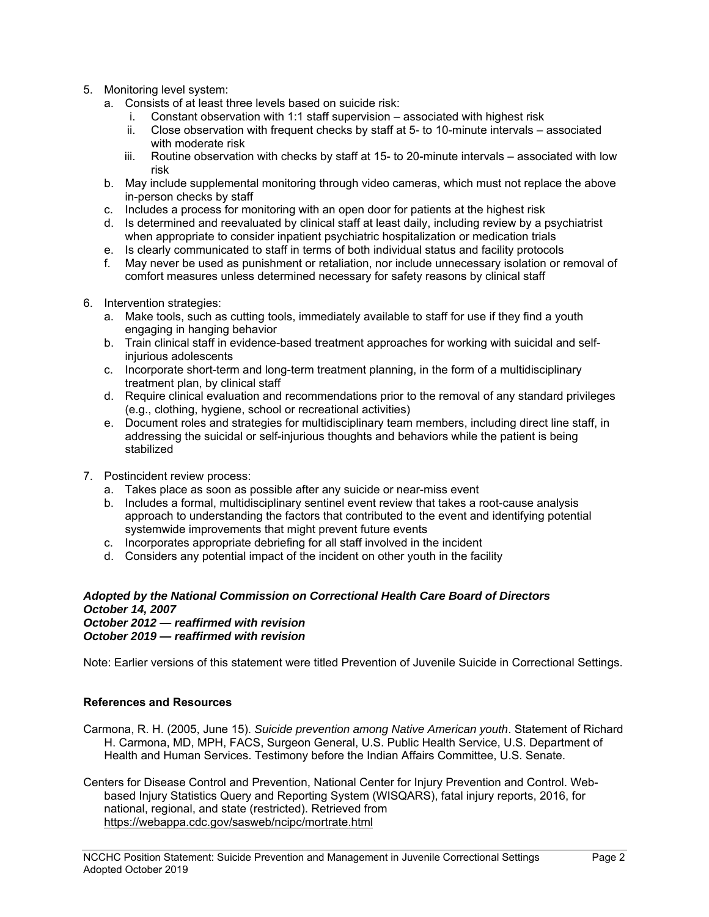- 5. Monitoring level system:
	- a. Consists of at least three levels based on suicide risk:
		- i. Constant observation with 1:1 staff supervision associated with highest risk
		- ii. Close observation with frequent checks by staff at 5- to 10-minute intervals associated with moderate risk
		- iii. Routine observation with checks by staff at 15- to 20-minute intervals associated with low risk
	- b. May include supplemental monitoring through video cameras, which must not replace the above in-person checks by staff
	- c. Includes a process for monitoring with an open door for patients at the highest risk
	- d. Is determined and reevaluated by clinical staff at least daily, including review by a psychiatrist when appropriate to consider inpatient psychiatric hospitalization or medication trials
	- e. Is clearly communicated to staff in terms of both individual status and facility protocols
	- f. May never be used as punishment or retaliation, nor include unnecessary isolation or removal of comfort measures unless determined necessary for safety reasons by clinical staff
- 6. Intervention strategies:
	- a. Make tools, such as cutting tools, immediately available to staff for use if they find a youth engaging in hanging behavior
	- b. Train clinical staff in evidence-based treatment approaches for working with suicidal and selfinjurious adolescents
	- c. Incorporate short-term and long-term treatment planning, in the form of a multidisciplinary treatment plan, by clinical staff
	- d. Require clinical evaluation and recommendations prior to the removal of any standard privileges (e.g., clothing, hygiene, school or recreational activities)
	- e. Document roles and strategies for multidisciplinary team members, including direct line staff, in addressing the suicidal or self-injurious thoughts and behaviors while the patient is being stabilized
- 7. Postincident review process:
	- a. Takes place as soon as possible after any suicide or near-miss event
	- b. Includes a formal, multidisciplinary sentinel event review that takes a root-cause analysis approach to understanding the factors that contributed to the event and identifying potential systemwide improvements that might prevent future events
	- c. Incorporates appropriate debriefing for all staff involved in the incident
	- d. Considers any potential impact of the incident on other youth in the facility

#### *Adopted by the National Commission on Correctional Health Care Board of Directors October 14, 2007 October 2012 — reaffirmed with revision*

*October 2019 — reaffirmed with revision* 

Note: Earlier versions of this statement were titled Prevention of Juvenile Suicide in Correctional Settings.

## **References and Resources**

Carmona, R. H. (2005, June 15). *Suicide prevention among Native American youth*. Statement of Richard H. Carmona, MD, MPH, FACS, Surgeon General, U.S. Public Health Service, U.S. Department of Health and Human Services. Testimony before the Indian Affairs Committee, U.S. Senate.

Centers for Disease Control and Prevention, National Center for Injury Prevention and Control. Webbased Injury Statistics Query and Reporting System (WISQARS), fatal injury reports, 2016, for national, regional, and state (restricted). Retrieved from https://webappa.cdc.gov/sasweb/ncipc/mortrate.html